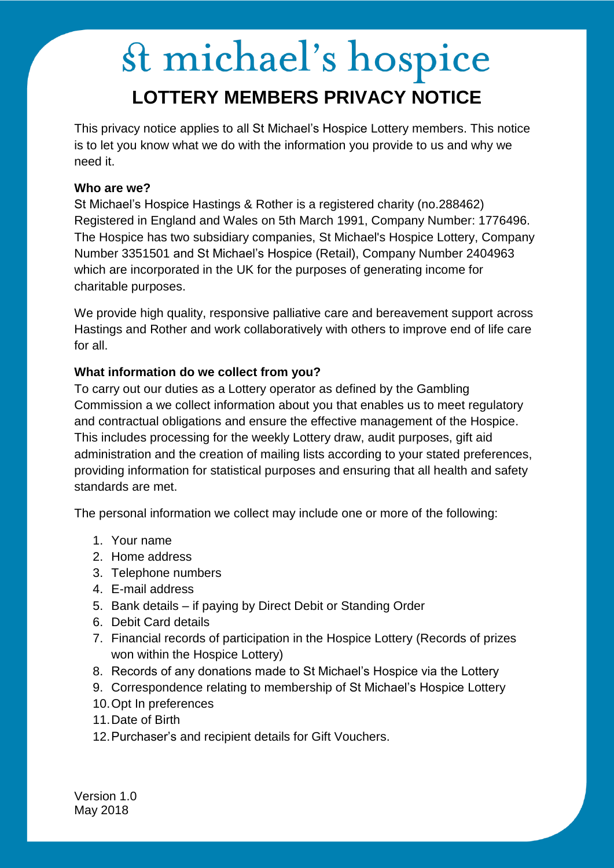# st michael's hospice **LOTTERY MEMBERS PRIVACY NOTICE**

This privacy notice applies to all St Michael's Hospice Lottery members. This notice is to let you know what we do with the information you provide to us and why we need it.

### **Who are we?**

St Michael's Hospice Hastings & Rother is a registered charity (no.288462) Registered in England and Wales on 5th March 1991, Company Number: 1776496. The Hospice has two subsidiary companies, St Michael's Hospice Lottery, Company Number 3351501 and St Michael's Hospice (Retail), Company Number 2404963 which are incorporated in the UK for the purposes of generating income for charitable purposes.

We provide high quality, responsive palliative care and bereavement support across Hastings and Rother and work collaboratively with others to improve end of life care for all.

### **What information do we collect from you?**

To carry out our duties as a Lottery operator as defined by the Gambling Commission a we collect information about you that enables us to meet regulatory and contractual obligations and ensure the effective management of the Hospice. This includes processing for the weekly Lottery draw, audit purposes, gift aid administration and the creation of mailing lists according to your stated preferences, providing information for statistical purposes and ensuring that all health and safety standards are met.

The personal information we collect may include one or more of the following:

- 1. Your name
- 2. Home address
- 3. Telephone numbers
- 4. E-mail address
- 5. Bank details if paying by Direct Debit or Standing Order
- 6. Debit Card details
- 7. Financial records of participation in the Hospice Lottery (Records of prizes won within the Hospice Lottery)
- 8. Records of any donations made to St Michael's Hospice via the Lottery
- 9. Correspondence relating to membership of St Michael's Hospice Lottery
- 10.Opt In preferences
- 11.Date of Birth
- 12.Purchaser's and recipient details for Gift Vouchers.

Version 1.0 May 2018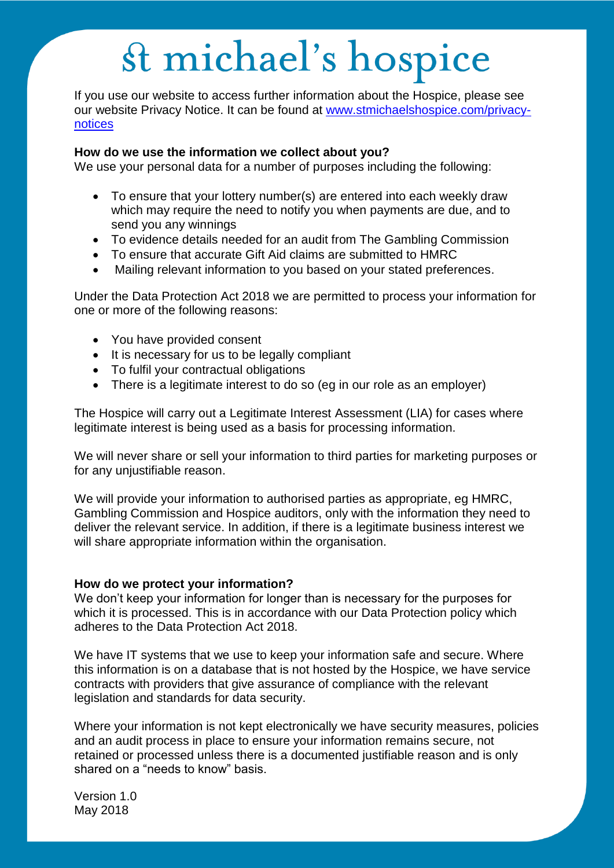# st michael's hospice

If you use our website to access further information about the Hospice, please see our website Privacy Notice. It can be found at [www.stmichaelshospice.com/privacy](http://www.stmichaelshospice.com/privacy-notices)[notices](http://www.stmichaelshospice.com/privacy-notices)

#### **How do we use the information we collect about you?**

We use your personal data for a number of purposes including the following:

- To ensure that your lottery number(s) are entered into each weekly draw which may require the need to notify you when payments are due, and to send you any winnings
- To evidence details needed for an audit from The Gambling Commission
- To ensure that accurate Gift Aid claims are submitted to HMRC
- Mailing relevant information to you based on your stated preferences.

Under the Data Protection Act 2018 we are permitted to process your information for one or more of the following reasons:

- You have provided consent
- It is necessary for us to be legally compliant
- To fulfil your contractual obligations
- There is a legitimate interest to do so (eg in our role as an employer)

The Hospice will carry out a Legitimate Interest Assessment (LIA) for cases where legitimate interest is being used as a basis for processing information.

We will never share or sell your information to third parties for marketing purposes or for any unjustifiable reason.

We will provide your information to authorised parties as appropriate, eg HMRC, Gambling Commission and Hospice auditors, only with the information they need to deliver the relevant service. In addition, if there is a legitimate business interest we will share appropriate information within the organisation.

#### **How do we protect your information?**

We don't keep your information for longer than is necessary for the purposes for which it is processed. This is in accordance with our Data Protection policy which adheres to the Data Protection Act 2018.

We have IT systems that we use to keep your information safe and secure. Where this information is on a database that is not hosted by the Hospice, we have service contracts with providers that give assurance of compliance with the relevant legislation and standards for data security.

Where your information is not kept electronically we have security measures, policies and an audit process in place to ensure your information remains secure, not retained or processed unless there is a documented justifiable reason and is only shared on a "needs to know" basis.

Version 1.0 May 2018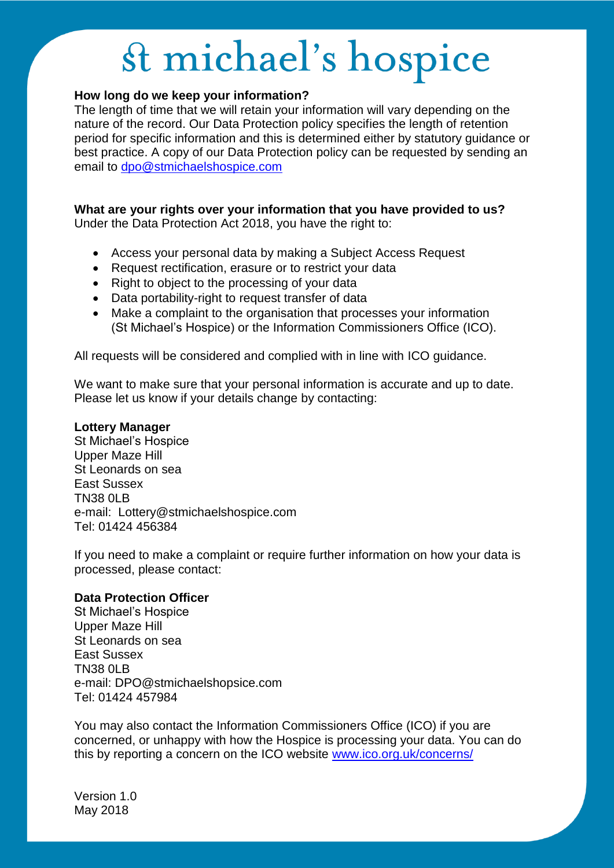# st michael's hospice

### **How long do we keep your information?**

The length of time that we will retain your information will vary depending on the nature of the record. Our Data Protection policy specifies the length of retention period for specific information and this is determined either by statutory guidance or best practice. A copy of our Data Protection policy can be requested by sending an email to [dpo@stmichaelshospice.com](mailto:dpo@stmichaelshospice.com)

## **What are your rights over your information that you have provided to us?**

Under the Data Protection Act 2018, you have the right to:

- Access your personal data by making a Subject Access Request
- Request rectification, erasure or to restrict your data
- Right to object to the processing of your data
- Data portability-right to request transfer of data
- Make a complaint to the organisation that processes your information (St Michael's Hospice) or the Information Commissioners Office (ICO).

All requests will be considered and complied with in line with ICO guidance.

We want to make sure that your personal information is accurate and up to date. Please let us know if your details change by contacting:

#### **Lottery Manager**

St Michael's Hospice Upper Maze Hill St Leonards on sea East Sussex TN38 0LB e-mail: Lottery@stmichaelshospice.com Tel: 01424 456384

If you need to make a complaint or require further information on how your data is processed, please contact:

#### **Data Protection Officer**

St Michael's Hospice Upper Maze Hill St Leonards on sea East Sussex TN38 0LB e-mail: DPO@stmichaelshopsice.com Tel: 01424 457984

You may also contact the Information Commissioners Office (ICO) if you are concerned, or unhappy with how the Hospice is processing your data. You can do this by reporting a concern on the ICO website [www.ico.org.uk/concerns/](http://www.ico.org.uk/concerns/) 

Version 1.0 May 2018